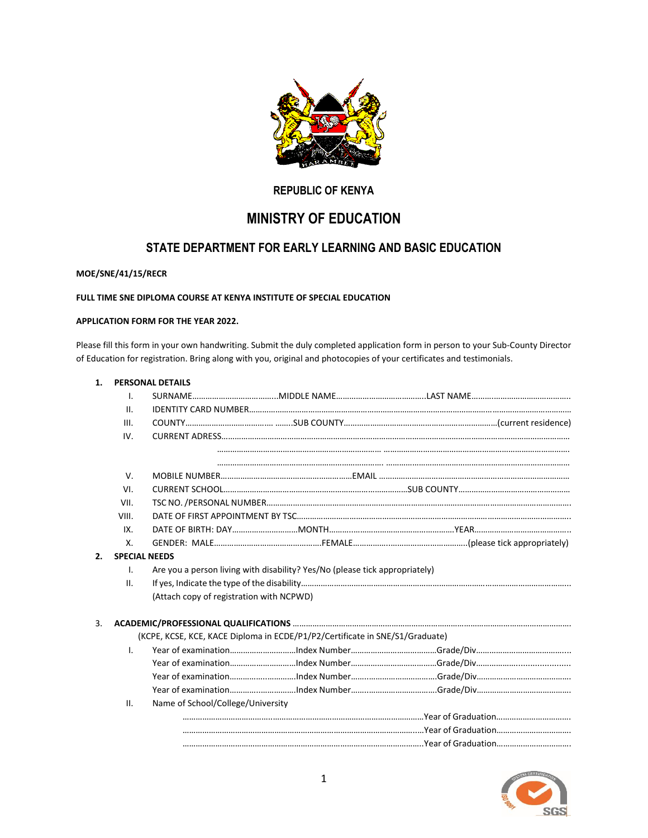

# **REPUBLIC OF KENYA**

# **MINISTRY OF EDUCATION**

# **STATE DEPARTMENT FOR EARLY LEARNING AND BASIC EDUCATION**

## **MOE/SNE/41/15/RECR**

# **FULL TIME SNE DIPLOMA COURSE AT KENYA INSTITUTE OF SPECIAL EDUCATION**

#### **APPLICATION FORM FOR THE YEAR 2022.**

Please fill this form in your own handwriting. Submit the duly completed application form in person to your Sub-County Director of Education for registration. Bring along with you, original and photocopies of your certificates and testimonials.

| 1. | <b>PERSONAL DETAILS</b>                                                      |                                                                             |  |  |  |  |  |
|----|------------------------------------------------------------------------------|-----------------------------------------------------------------------------|--|--|--|--|--|
|    | Ι.                                                                           |                                                                             |  |  |  |  |  |
|    | II.                                                                          |                                                                             |  |  |  |  |  |
|    | III.                                                                         |                                                                             |  |  |  |  |  |
|    | IV.                                                                          |                                                                             |  |  |  |  |  |
|    |                                                                              |                                                                             |  |  |  |  |  |
|    |                                                                              |                                                                             |  |  |  |  |  |
|    | V.                                                                           |                                                                             |  |  |  |  |  |
|    | VI.                                                                          |                                                                             |  |  |  |  |  |
|    | VII.                                                                         |                                                                             |  |  |  |  |  |
|    | VIII.                                                                        |                                                                             |  |  |  |  |  |
|    | IX.                                                                          |                                                                             |  |  |  |  |  |
|    | Χ.                                                                           |                                                                             |  |  |  |  |  |
| 2. |                                                                              | <b>SPECIAL NEEDS</b>                                                        |  |  |  |  |  |
|    | Ι.                                                                           | Are you a person living with disability? Yes/No (please tick appropriately) |  |  |  |  |  |
|    | II.                                                                          |                                                                             |  |  |  |  |  |
|    |                                                                              | (Attach copy of registration with NCPWD)                                    |  |  |  |  |  |
| 3. |                                                                              |                                                                             |  |  |  |  |  |
|    | (KCPE, KCSE, KCE, KACE Diploma in ECDE/P1/P2/Certificate in SNE/S1/Graduate) |                                                                             |  |  |  |  |  |
|    | $\mathbf{L}$                                                                 |                                                                             |  |  |  |  |  |
|    |                                                                              |                                                                             |  |  |  |  |  |
|    |                                                                              |                                                                             |  |  |  |  |  |
|    |                                                                              |                                                                             |  |  |  |  |  |
|    | Ш.                                                                           | Name of School/College/University                                           |  |  |  |  |  |
|    |                                                                              |                                                                             |  |  |  |  |  |
|    |                                                                              |                                                                             |  |  |  |  |  |
|    |                                                                              |                                                                             |  |  |  |  |  |
|    |                                                                              |                                                                             |  |  |  |  |  |